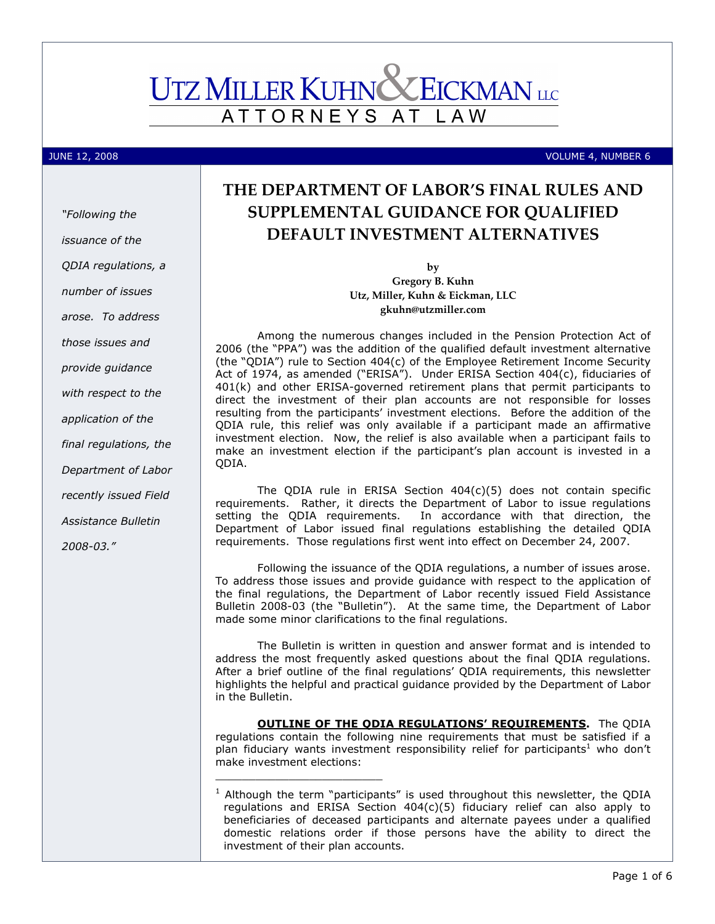# **UTZ MILLER KUHN X EICKMAN** LLC ATTORNEYS AT L A W

"Following the

issuance of the

QDIA regulations, a

number of issues

arose. To address

those issues and

provide guidance

with respect to the

application of the

final regulations, the

Department of Labor

recently issued Field

Assistance Bulletin

2008-03."

JUNE 12, 2008 VOLUME 4, NUMBER 6

# THE DEPARTMENT OF LABOR'S FINAL RULES AND SUPPLEMENTAL GUIDANCE FOR QUALIFIED DEFAULT INVESTMENT ALTERNATIVES

by Gregory B. Kuhn Utz, Miller, Kuhn & Eickman, LLC gkuhn@utzmiller.com

Among the numerous changes included in the Pension Protection Act of 2006 (the "PPA") was the addition of the qualified default investment alternative (the "QDIA") rule to Section 404(c) of the Employee Retirement Income Security Act of 1974, as amended ("ERISA"). Under ERISA Section 404(c), fiduciaries of 401(k) and other ERISA-governed retirement plans that permit participants to direct the investment of their plan accounts are not responsible for losses resulting from the participants' investment elections. Before the addition of the QDIA rule, this relief was only available if a participant made an affirmative investment election. Now, the relief is also available when a participant fails to make an investment election if the participant's plan account is invested in a QDIA.

The QDIA rule in ERISA Section 404(c)(5) does not contain specific requirements. Rather, it directs the Department of Labor to issue regulations setting the QDIA requirements. In accordance with that direction, the Department of Labor issued final regulations establishing the detailed QDIA requirements. Those regulations first went into effect on December 24, 2007.

Following the issuance of the QDIA regulations, a number of issues arose. To address those issues and provide guidance with respect to the application of the final regulations, the Department of Labor recently issued Field Assistance Bulletin 2008-03 (the "Bulletin"). At the same time, the Department of Labor made some minor clarifications to the final regulations.

The Bulletin is written in question and answer format and is intended to address the most frequently asked questions about the final QDIA regulations. After a brief outline of the final regulations' QDIA requirements, this newsletter highlights the helpful and practical guidance provided by the Department of Labor in the Bulletin.

**OUTLINE OF THE ODIA REGULATIONS' REQUIREMENTS.** The QDIA regulations contain the following nine requirements that must be satisfied if a plan fiduciary wants investment responsibility relief for participants<sup>1</sup> who don't make investment elections:

\_\_\_\_\_\_\_\_\_\_\_\_\_\_\_\_\_\_\_\_\_\_\_\_\_

 $<sup>1</sup>$  Although the term "participants" is used throughout this newsletter, the QDIA</sup> regulations and ERISA Section 404(c)(5) fiduciary relief can also apply to beneficiaries of deceased participants and alternate payees under a qualified domestic relations order if those persons have the ability to direct the investment of their plan accounts.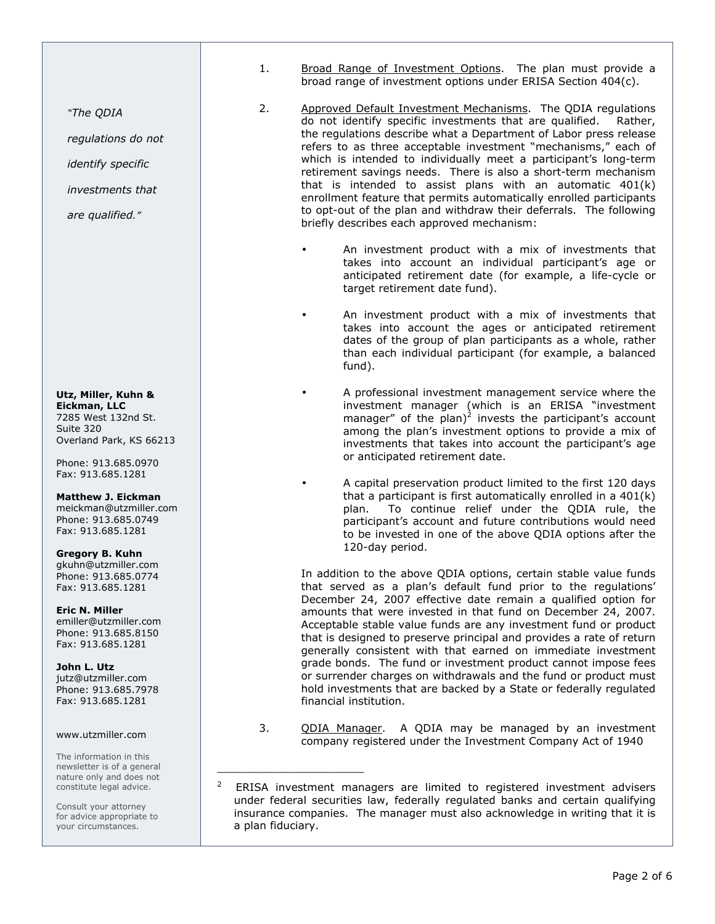- 1. Broad Range of Investment Options. The plan must provide a broad range of investment options under ERISA Section 404(c).
- 2. Approved Default Investment Mechanisms. The QDIA regulations do not identify specific investments that are qualified. Rather, the regulations describe what a Department of Labor press release refers to as three acceptable investment "mechanisms," each of which is intended to individually meet a participant's long-term retirement savings needs. There is also a short-term mechanism that is intended to assist plans with an automatic 401(k) enrollment feature that permits automatically enrolled participants to opt-out of the plan and withdraw their deferrals. The following briefly describes each approved mechanism:
	- An investment product with a mix of investments that takes into account an individual participant's age or anticipated retirement date (for example, a life-cycle or target retirement date fund).
	- An investment product with a mix of investments that takes into account the ages or anticipated retirement dates of the group of plan participants as a whole, rather than each individual participant (for example, a balanced fund).
	- A professional investment management service where the investment manager (which is an ERISA "investment manager" of the plan)<sup>2</sup> invests the participant's account among the plan's investment options to provide a mix of investments that takes into account the participant's age or anticipated retirement date.
	- A capital preservation product limited to the first 120 days that a participant is first automatically enrolled in a 401(k) plan. To continue relief under the QDIA rule, the participant's account and future contributions would need to be invested in one of the above QDIA options after the 120-day period.

In addition to the above QDIA options, certain stable value funds that served as a plan's default fund prior to the regulations' December 24, 2007 effective date remain a qualified option for amounts that were invested in that fund on December 24, 2007. Acceptable stable value funds are any investment fund or product that is designed to preserve principal and provides a rate of return generally consistent with that earned on immediate investment grade bonds. The fund or investment product cannot impose fees or surrender charges on withdrawals and the fund or product must hold investments that are backed by a State or federally regulated financial institution.

3. QDIA Manager. A QDIA may be managed by an investment company registered under the Investment Company Act of 1940

\_\_\_\_\_\_\_\_\_\_\_\_\_\_\_\_\_\_\_\_\_\_

"The QDIA

regulations do not

identify specific

investments that

are qualified."

Utz, Miller, Kuhn & Eickman, LLC 7285 West 132nd St. Suite 320 Overland Park, KS 66213

Phone: 913.685.0970 Fax: 913.685.1281

Matthew J. Eickman

meickman@utzmiller.com Phone: 913.685.0749 Fax: 913.685.1281

Gregory B. Kuhn gkuhn@utzmiller.com Phone: 913.685.0774 Fax: 913.685.1281

Eric N. Miller emiller@utzmiller.com Phone: 913.685.8150 Fax: 913.685.1281

John L. Utz jutz@utzmiller.com Phone: 913.685.7978 Fax: 913.685.1281

#### www.utzmiller.com

The information in this newsletter is of a general nature only and does not constitute legal advice.

Consult your attorney for advice appropriate to your circumstances.

<sup>2</sup> ERISA investment managers are limited to registered investment advisers under federal securities law, federally regulated banks and certain qualifying insurance companies. The manager must also acknowledge in writing that it is a plan fiduciary.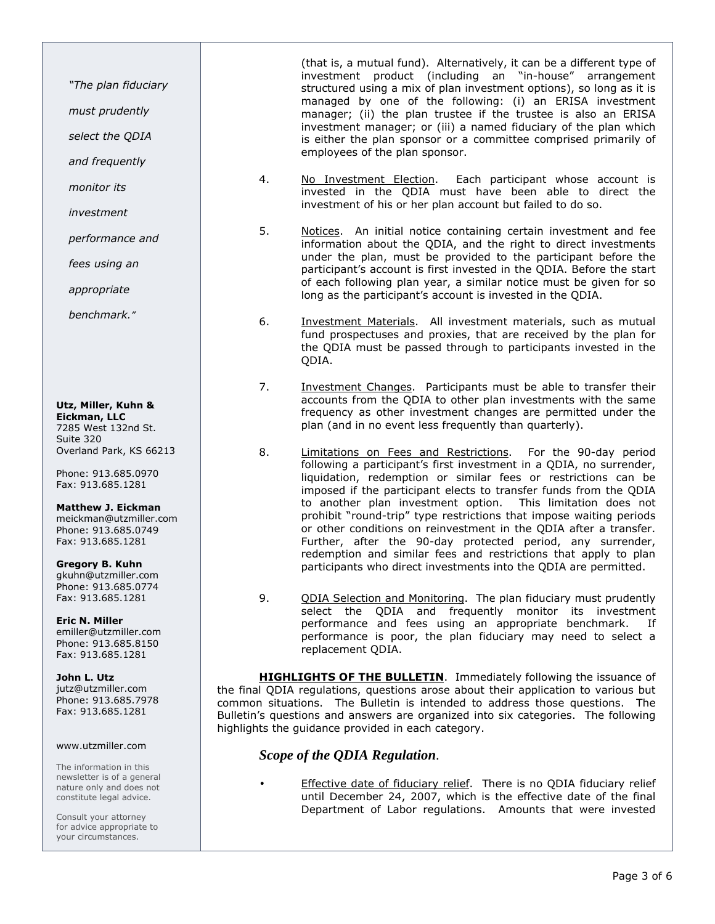"The plan fiduciary

must prudently

select the QDIA

and frequently

monitor its

investment

performance and

fees using an

appropriate

benchmark."

Utz, Miller, Kuhn & Eickman, LLC 7285 West 132nd St. Suite 320 Overland Park, KS 66213

Phone: 913.685.0970 Fax: 913.685.1281

#### Matthew J. Eickman

meickman@utzmiller.com Phone: 913.685.0749 Fax: 913.685.1281

#### Gregory B. Kuhn

gkuhn@utzmiller.com Phone: 913.685.0774 Fax: 913.685.1281

## Eric N. Miller

emiller@utzmiller.com Phone: 913.685.8150 Fax: 913.685.1281

#### John L. Utz

jutz@utzmiller.com Phone: 913.685.7978 Fax: 913.685.1281

#### www.utzmiller.com

The information in this newsletter is of a general nature only and does not constitute legal advice.

Consult your attorney for advice appropriate to your circumstances.

(that is, a mutual fund). Alternatively, it can be a different type of investment product (including an "in-house" arrangement structured using a mix of plan investment options), so long as it is managed by one of the following: (i) an ERISA investment manager; (ii) the plan trustee if the trustee is also an ERISA investment manager; or (iii) a named fiduciary of the plan which is either the plan sponsor or a committee comprised primarily of employees of the plan sponsor.

- 4. No Investment Election. Each participant whose account is invested in the QDIA must have been able to direct the investment of his or her plan account but failed to do so.
- 5. Notices. An initial notice containing certain investment and fee information about the QDIA, and the right to direct investments under the plan, must be provided to the participant before the participant's account is first invested in the QDIA. Before the start of each following plan year, a similar notice must be given for so long as the participant's account is invested in the QDIA.
- 6. Investment Materials. All investment materials, such as mutual fund prospectuses and proxies, that are received by the plan for the QDIA must be passed through to participants invested in the QDIA.
- 7. Investment Changes. Participants must be able to transfer their accounts from the QDIA to other plan investments with the same frequency as other investment changes are permitted under the plan (and in no event less frequently than quarterly).
- 8. Limitations on Fees and Restrictions. For the 90-day period following a participant's first investment in a QDIA, no surrender, liquidation, redemption or similar fees or restrictions can be imposed if the participant elects to transfer funds from the QDIA to another plan investment option. This limitation does not prohibit "round-trip" type restrictions that impose waiting periods or other conditions on reinvestment in the QDIA after a transfer. Further, after the 90-day protected period, any surrender, redemption and similar fees and restrictions that apply to plan participants who direct investments into the QDIA are permitted.
- 9. QDIA Selection and Monitoring. The plan fiduciary must prudently select the QDIA and frequently monitor its investment performance and fees using an appropriate benchmark. If performance is poor, the plan fiduciary may need to select a replacement QDIA.

**HIGHLIGHTS OF THE BULLETIN.** Immediately following the issuance of the final QDIA regulations, questions arose about their application to various but common situations. The Bulletin is intended to address those questions. The Bulletin's questions and answers are organized into six categories. The following highlights the guidance provided in each category.

## *Scope of the QDIA Regulation*.

Effective date of fiduciary relief. There is no QDIA fiduciary relief until December 24, 2007, which is the effective date of the final Department of Labor regulations. Amounts that were invested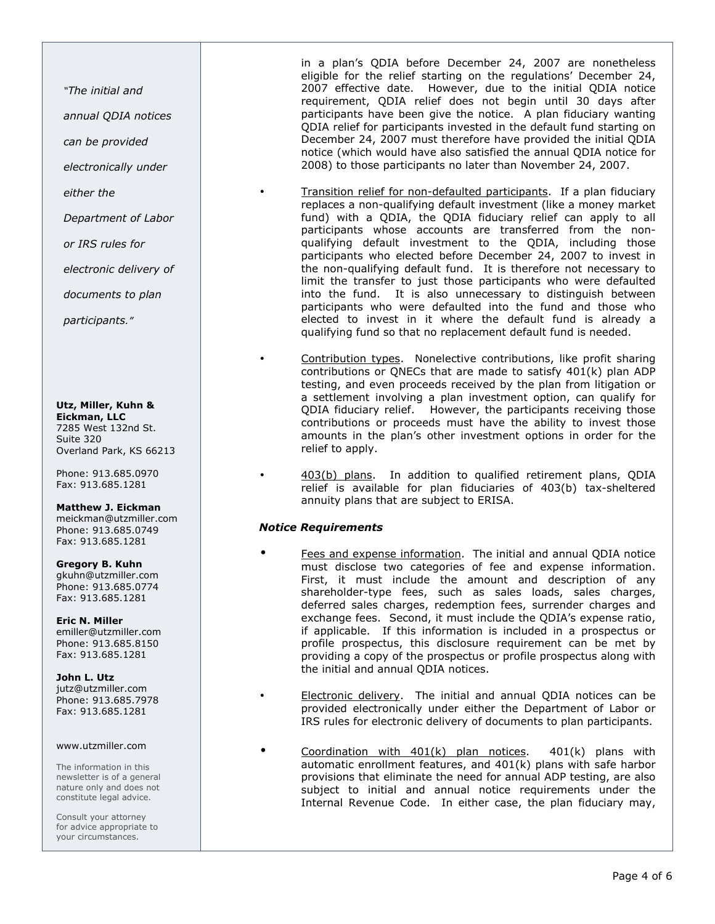"The initial and

annual QDIA notices

can be provided

electronically under

either the

Department of Labor

or IRS rules for

electronic delivery of

documents to plan

participants."

## Utz, Miller, Kuhn &

Eickman, LLC 7285 West 132nd St. Suite 320 Overland Park, KS 66213

Phone: 913.685.0970 Fax: 913.685.1281

#### Matthew J. Eickman

meickman@utzmiller.com Phone: 913.685.0749 Fax: 913.685.1281

#### Gregory B. Kuhn

gkuhn@utzmiller.com Phone: 913.685.0774 Fax: 913.685.1281

## Eric N. Miller

emiller@utzmiller.com Phone: 913.685.8150 Fax: 913.685.1281

John L. Utz jutz@utzmiller.com Phone: 913.685.7978 Fax: 913.685.1281

#### www.utzmiller.com

The information in this newsletter is of a general nature only and does not constitute legal advice.

Consult your attorney for advice appropriate to your circumstances.

in a plan's QDIA before December 24, 2007 are nonetheless eligible for the relief starting on the regulations' December 24, 2007 effective date. However, due to the initial QDIA notice requirement, QDIA relief does not begin until 30 days after participants have been give the notice. A plan fiduciary wanting QDIA relief for participants invested in the default fund starting on December 24, 2007 must therefore have provided the initial QDIA notice (which would have also satisfied the annual QDIA notice for 2008) to those participants no later than November 24, 2007.

- Transition relief for non-defaulted participants. If a plan fiduciary replaces a non-qualifying default investment (like a money market fund) with a QDIA, the QDIA fiduciary relief can apply to all participants whose accounts are transferred from the nonqualifying default investment to the QDIA, including those participants who elected before December 24, 2007 to invest in the non-qualifying default fund. It is therefore not necessary to limit the transfer to just those participants who were defaulted into the fund. It is also unnecessary to distinguish between participants who were defaulted into the fund and those who elected to invest in it where the default fund is already a qualifying fund so that no replacement default fund is needed.
- Contribution types. Nonelective contributions, like profit sharing contributions or QNECs that are made to satisfy 401(k) plan ADP testing, and even proceeds received by the plan from litigation or a settlement involving a plan investment option, can qualify for QDIA fiduciary relief. However, the participants receiving those contributions or proceeds must have the ability to invest those amounts in the plan's other investment options in order for the relief to apply.
- 403(b) plans. In addition to qualified retirement plans, QDIA relief is available for plan fiduciaries of 403(b) tax-sheltered annuity plans that are subject to ERISA.

#### Notice Requirements

- Fees and expense information. The initial and annual QDIA notice must disclose two categories of fee and expense information. First, it must include the amount and description of any shareholder-type fees, such as sales loads, sales charges, deferred sales charges, redemption fees, surrender charges and exchange fees. Second, it must include the QDIA's expense ratio, if applicable. If this information is included in a prospectus or profile prospectus, this disclosure requirement can be met by providing a copy of the prospectus or profile prospectus along with the initial and annual QDIA notices.
- Electronic delivery. The initial and annual QDIA notices can be provided electronically under either the Department of Labor or IRS rules for electronic delivery of documents to plan participants.
- Coordination with 401(k) plan notices. 401(k) plans with automatic enrollment features, and 401(k) plans with safe harbor provisions that eliminate the need for annual ADP testing, are also subject to initial and annual notice requirements under the Internal Revenue Code. In either case, the plan fiduciary may,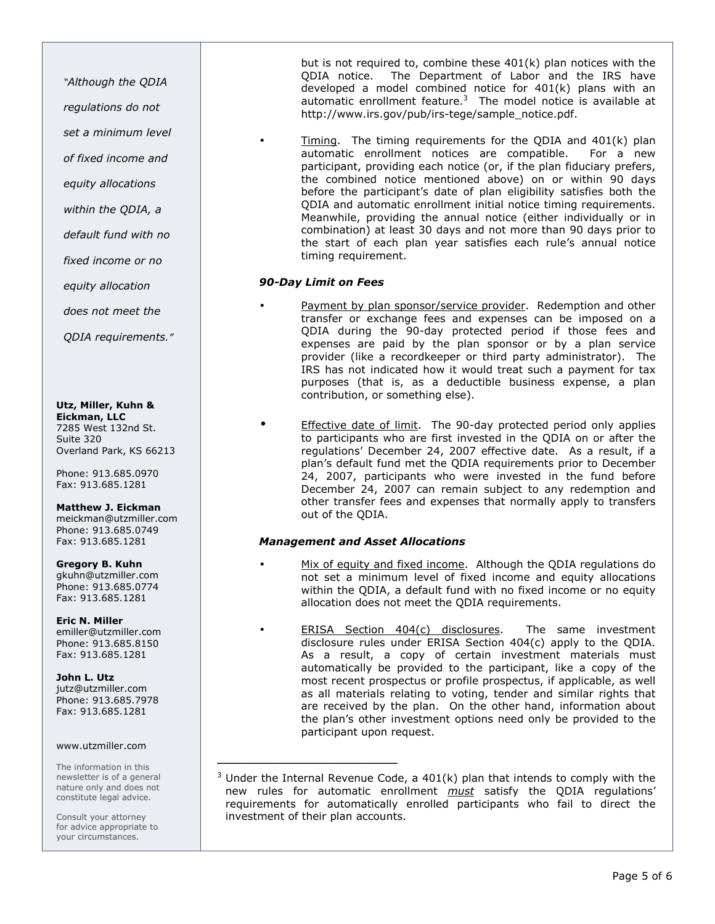"Although the QDIA

regulations do not set a minimum level

of fixed income and

equity allocations

within the QDIA, a

default fund with no

fixed income or no

equity allocation

does not meet the

QDIA requirements."

## Utz, Miller, Kuhn &

Eickman, LLC 7285 West 132nd St. Suite 320 Overland Park, KS 66213

Phone: 913.685.0970 Fax: 913.685.1281

### Matthew J. Eickman

meickman@utzmiller.com Phone: 913.685.0749 Fax: 913.685.1281

### Gregory B. Kuhn

gkuhn@utzmiller.com Phone: 913.685.0774 Fax: 913.685.1281

#### Eric N. Miller emiller@utzmiller.com Phone: 913.685.8150 Fax: 913.685.1281

John L. Utz jutz@utzmiller.com Phone: 913.685.7978 Fax: 913.685.1281

#### www.utzmiller.com

The information in this newsletter is of a general nature only and does not constitute legal advice.

Consult your attorney for advice appropriate to your circumstances.

but is not required to, combine these 401(k) plan notices with the QDIA notice. The Department of Labor and the IRS have developed a model combined notice for 401(k) plans with an automatic enrollment feature. $3$  The model notice is available at http://www.irs.gov/pub/irs-tege/sample\_notice.pdf.

 $Timing.$  The timing requirements for the QDIA and  $401(k)$  plan automatic enrollment notices are compatible. For a new participant, providing each notice (or, if the plan fiduciary prefers, the combined notice mentioned above) on or within 90 days before the participant's date of plan eligibility satisfies both the QDIA and automatic enrollment initial notice timing requirements. Meanwhile, providing the annual notice (either individually or in combination) at least 30 days and not more than 90 days prior to the start of each plan year satisfies each rule's annual notice timing requirement.

## 90-Day Limit on Fees

- Payment by plan sponsor/service provider. Redemption and other transfer or exchange fees and expenses can be imposed on a QDIA during the 90-day protected period if those fees and expenses are paid by the plan sponsor or by a plan service provider (like a recordkeeper or third party administrator). The IRS has not indicated how it would treat such a payment for tax purposes (that is, as a deductible business expense, a plan contribution, or something else).
- **Effective date of limit.** The 90-day protected period only applies to participants who are first invested in the QDIA on or after the regulations' December 24, 2007 effective date. As a result, if a plan's default fund met the QDIA requirements prior to December 24, 2007, participants who were invested in the fund before December 24, 2007 can remain subject to any redemption and other transfer fees and expenses that normally apply to transfers out of the QDIA.

### Management and Asset Allocations

\_\_\_\_\_\_\_\_\_\_\_\_\_\_\_\_\_\_\_\_\_\_\_\_\_\_\_

- Mix of equity and fixed income. Although the QDIA regulations do not set a minimum level of fixed income and equity allocations within the QDIA, a default fund with no fixed income or no equity allocation does not meet the QDIA requirements.
- ERISA Section 404(c) disclosures. The same investment disclosure rules under ERISA Section 404(c) apply to the QDIA. As a result, a copy of certain investment materials must automatically be provided to the participant, like a copy of the most recent prospectus or profile prospectus, if applicable, as well as all materials relating to voting, tender and similar rights that are received by the plan. On the other hand, information about the plan's other investment options need only be provided to the participant upon request.

<sup>&</sup>lt;sup>3</sup> Under the Internal Revenue Code, a 401(k) plan that intends to comply with the new rules for automatic enrollment must satisfy the ODIA regulations' requirements for automatically enrolled participants who fail to direct the investment of their plan accounts.